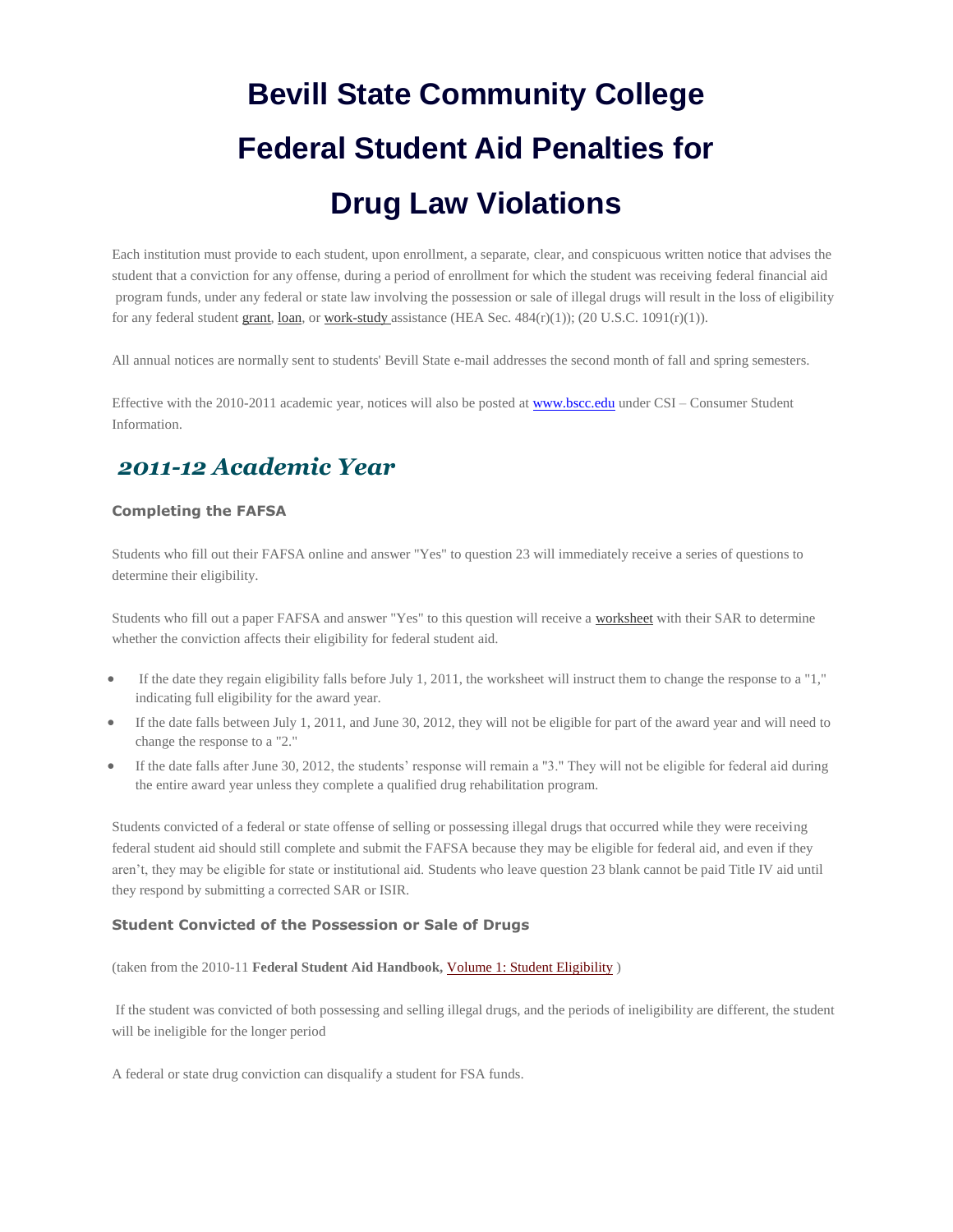# **Bevill State Community College Federal Student Aid Penalties for Drug Law Violations**

Each institution must provide to each student, upon enrollment, a separate, clear, and conspicuous written notice that advises the student that a conviction for any offense, during a period of enrollment for which the student was receiving federal financial aid program funds, under any federal or state law involving the possession or sale of illegal drugs will result in the loss of eligibility for any federal student [grant,](http://studentaid.ed.gov/PORTALSWebApp/students/english/grants.jsp) [loan,](http://studentaid.ed.gov/PORTALSWebApp/students/english/studentloans.jsp) o[r work-study a](http://studentaid.ed.gov/PORTALSWebApp/students/english/campusaid.jsp#02)ssistance (HEA Sec.  $484(r)(1)$ ); (20 U.S.C. 1091(r)(1)).

All annual notices are normally sent to students' Bevill State e-mail addresses the second month of fall and spring semesters.

Effective with the 2010-2011 academic year, notices will also be posted at **www.bscc.edu** under CSI – Consumer Student Information.

## *2011-12 Academic Year*

#### **Completing the FAFSA**

Students who fill out their FAFSA online and answer "Yes" to question 23 will immediately receive a series of questions to determine their eligibility.

Students who fill out a paper FAFSA and answer "Yes" to this question will receive a [worksheet](http://www.ifap.ed.gov/drugworksheets/attachments/0107091011Drug%20WorksheetFINAL.pdf) with their SAR to determine whether the conviction affects their eligibility for federal student aid.

- If the date they regain eligibility falls before July 1, 2011, the worksheet will instruct them to change the response to a "1," indicating full eligibility for the award year.
- If the date falls between July 1, 2011, and June 30, 2012, they will not be eligible for part of the award year and will need to change the response to a "2."
- If the date falls after June 30, 2012, the students' response will remain a "3." They will not be eligible for federal aid during the entire award year unless they complete a qualified drug rehabilitation program.

Students convicted of a federal or state offense of selling or possessing illegal drugs that occurred while they were receiving federal student aid should still complete and submit the FAFSA because they may be eligible for federal aid, and even if they aren't, they may be eligible for state or institutional aid. Students who leave question 23 blank cannot be paid Title IV aid until they respond by submitting a corrected SAR or ISIR.

### **Student Convicted of the Possession or Sale of Drugs**

(taken from the 2010-11 **Federal Student Aid Handbook,** [Volume 1: Student Eligibility](http://ifap.ed.gov/fsahandbook/attachments/0910FSAHbkVol1Ch1.pdf) )

If the student was convicted of both possessing and selling illegal drugs, and the periods of ineligibility are different, the student will be ineligible for the longer period

A federal or state drug conviction can disqualify a student for FSA funds.